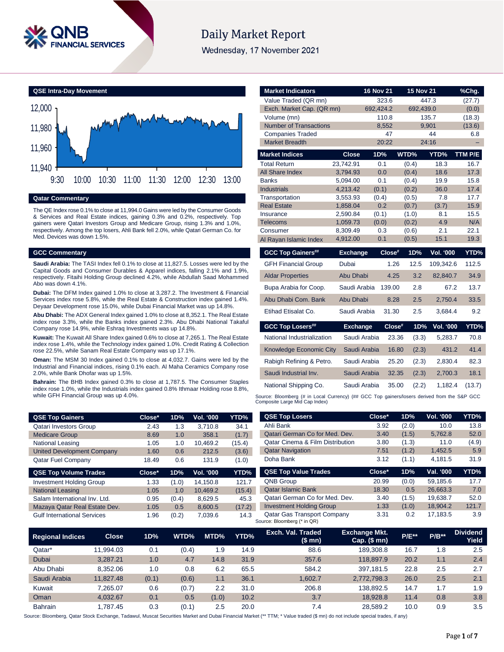

# **Daily Market Report**

Wednesday, 17 November 2021

**QSE Intra-Day Movement** 11,940 11,960 11,980 12,000 9:30 10:00 10:30 11:00 11:30 12:00 12:30 13:00

# **Qatar Commentary**

The QE Index rose 0.1% to close at 11,994.0 Gains were led by the Consumer Goods & Services and Real Estate indices, gaining 0.3% and 0.2%, respectively. Top gainers were Qatari Investors Group and Medicare Group, rising 1.3% and 1.0%, respectively. Among the top losers, Ahli Bank fell 2.0%, while Qatari German Co. for Med. Devices was down 1.5%.

#### **GCC Commentary**

**Saudi Arabia:** The TASI Index fell 0.1% to close at 11,827.5. Losses were led by the Capital Goods and Consumer Durables & Apparel indices, falling 2.1% and 1.9%, respectively. Fitaihi Holding Group declined 4.2%, while Abdullah Saad Mohammed Abo was down 4.1%.

**Dubai:** The DFM Index gained 1.0% to close at 3,287.2. The Investment & Financial Services index rose 5.8%, while the Real Estate & Construction index gained 1.4%. Deyaar Development rose 15.0%, while Dubai Financial Market was up 14.8%.

**Abu Dhabi:** The ADX General Index gained 1.0% to close at 8,352.1. The Real Estate index rose 3.3%, while the Banks index gained 2.3%. Abu Dhabi National Takaful Company rose 14.9%, while Eshraq Investments was up 14.8%.

**Kuwait:** The Kuwait All Share Index gained 0.6% to close at 7,265.1. The Real Estate index rose 1.4%, while the Technology index gained 1.0%. Credit Rating & Collection rose 22.5%, while Sanam Real Estate Company was up 17.1%.

**Oman:** The MSM 30 Index gained 0.1% to close at 4,032.7. Gains were led by the Industrial and Financial indices, rising 0.1% each. Al Maha Ceramics Company rose 2.0%, while Bank Dhofar was up 1.5%.

**Bahrain:** The BHB Index gained 0.3% to close at 1,787.5. The Consumer Staples index rose 1.0%, while the Industrials index gained 0.8% Ithmaar Holding rose 8.8%, while GFH Financial Group was up 4.0%.

| <b>QSE Top Gainers</b>            | Close* | 1D%   | Vol. '000 | YTD%   |
|-----------------------------------|--------|-------|-----------|--------|
| <b>Qatari Investors Group</b>     | 2.43   | 1.3   | 3.710.8   | 34.1   |
| <b>Medicare Group</b>             | 8.69   | 1.0   | 358.1     | (1.7)  |
| <b>National Leasing</b>           | 1.05   | 1.0   | 10.469.2  | (15.4) |
| <b>United Development Company</b> | 1.60   | 0.6   | 212.5     | (3.6)  |
| <b>Qatar Fuel Company</b>         | 18.49  | 0.6   | 131.9     | (1.0)  |
| <b>QSE Top Volume Trades</b>      | Close* | 1D%   | Vol. '000 | YTD%   |
| <b>Investment Holding Group</b>   | 1.33   | (1.0) | 14.150.8  | 121.7  |
| <b>National Leasing</b>           | 1.05   | 1.0   | 10.469.2  | (15.4) |

Salam International Inv. Ltd. 0.95 (0.4) 8,629.5 45.3 Mazaya Qatar Real Estate Dev. 1.05 0.5 8,600.5 (17.2) Gulf International Services 1.96 (0.2) 7,039.6 14.3

| <b>Market Indicators</b>                                                                   |                      | <b>16 Nov 21</b> |                | <b>15 Nov 21</b>        | %Chg.       |
|--------------------------------------------------------------------------------------------|----------------------|------------------|----------------|-------------------------|-------------|
| Value Traded (QR mn)                                                                       |                      | 323.6            |                | 447.3                   | (27.7)      |
| Exch. Market Cap. (QR mn)                                                                  |                      | 692,424.2        |                | 692,439.0               | (0.0)       |
| Volume (mn)                                                                                |                      | 110.8            |                | 135.7                   | (18.3)      |
| <b>Number of Transactions</b>                                                              |                      | 8,552            |                | 9,901                   | (13.6)      |
| <b>Companies Traded</b>                                                                    |                      | 47               |                | 44                      | 6.8         |
| <b>Market Breadth</b>                                                                      |                      | 20:22            |                | 24:16                   |             |
| <b>Market Indices</b>                                                                      | <b>Close</b>         | 1D%              | WTD%           | YTD%                    | TTM P/E     |
| <b>Total Return</b>                                                                        | 23,742.91            | 0.1              | (0.4)          | 18.3                    | 16.7        |
| <b>All Share Index</b>                                                                     | 3,794.93             | 0.0              | (0.4)          | 18.6                    | 17.3        |
| <b>Banks</b>                                                                               | 5,094.00             | 0.1              | (0.4)          | 19.9                    | 15.8        |
| <b>Industrials</b>                                                                         | 4,213.42             | (0.1)            | (0.2)          | 36.0                    | 17.4        |
| Transportation                                                                             | 3,553.93             | (0.4)            | (0.5)          | 7.8                     | 17.7        |
| <b>Real Estate</b>                                                                         | 1,858.04             | 0.2              | (0.7)          | (3.7)                   | 15.9        |
| Insurance<br><b>Telecoms</b>                                                               | 2.590.84<br>1,059.73 | (0.1)<br>(0.0)   | (1.0)<br>(0.2) | 8.1<br>4.9              | 15.5<br>N/A |
| Consumer                                                                                   | 8,309.49             | 0.3              | (0.6)          | 2.1                     | 22.1        |
| Al Rayan Islamic Index                                                                     | 4,912.00             | 0.1              | (0.5)          | 15.1                    | 19.3        |
|                                                                                            |                      |                  |                |                         |             |
| <b>GCC Top Gainers##</b>                                                                   | <b>Exchange</b>      |                  | Close#<br>1D%  | <b>Vol. '000</b>        | YTD%        |
| <b>GFH Financial Group</b>                                                                 | Dubai                |                  | 12.5<br>1.26   | 109,342.6               | 112.5       |
| <b>Aldar Properties</b>                                                                    | Abu Dhabi            |                  | 3.2<br>4.25    | 82,840.7                | 34.9        |
| Bupa Arabia for Coop.                                                                      | Saudi Arabia         |                  | 2.8<br>139.00  | 67.2                    | 13.7        |
| Abu Dhabi Com. Bank                                                                        | Abu Dhabi            |                  | 2.5<br>8.28    | 2,750.4                 | 33.5        |
| Etihad Etisalat Co.                                                                        | Saudi Arabia         |                  | 2.5<br>31.30   | 3,684.4                 | 9.2         |
| <b>GCC Top Losers##</b>                                                                    | <b>Exchange</b>      |                  | Close#         | 1D%<br><b>Vol. '000</b> | YTD%        |
| National Industrialization                                                                 | Saudi Arabia         |                  | 23.36          | (3.3)<br>5,283.7        | 70.8        |
| Knowledge Economic City                                                                    | Saudi Arabia         |                  | 16.80          | 431.2<br>(2.3)          | 41.4        |
| Rabigh Refining & Petro.                                                                   | Saudi Arabia         |                  | 25.20          | (2.3)<br>2,830.4        | 82.3        |
| Saudi Industrial Inv.                                                                      | Saudi Arabia         |                  | 32.35          | 2,700.3<br>(2.3)        | 18.1        |
| National Shipping Co.                                                                      | Saudi Arabia         |                  | 35.00          | (2.2)<br>1,182.4        | (13.7)      |
| Curso: Bloomborg (# in Local Cursonar) (## CCC Top gainers/lesses derived from the S&D CCC |                      |                  |                |                         |             |

Source: Bloomberg (# in Local Currency) (## GCC Top gainers/losers derived from the S&P GCC Composite Large Mid Cap Index)

| <b>QSE Top Losers</b>                       | Close* | 1D%   | Vol. '000 | YTD%  |
|---------------------------------------------|--------|-------|-----------|-------|
| Ahli Bank                                   | 3.92   | (2.0) | 10.0      | 13.8  |
| Qatari German Co for Med. Dev.              | 3.40   | (1.5) | 5,762.8   | 52.0  |
| <b>Oatar Cinema &amp; Film Distribution</b> | 3.80   | (1.3) | 11.0      | (4.9) |
| <b>Qatar Navigation</b>                     | 7.51   | (1.2) | 1,452.5   | 5.9   |
| Doha Bank                                   | 3.12   | (1.1) | 4.181.5   | 31.9  |
| <b>QSE Top Value Trades</b>                 | Close* | 1D%   | Val. '000 | YTD%  |
|                                             |        |       |           |       |
| <b>QNB Group</b>                            | 20.99  | (0.0) | 59.185.6  | 17.7  |
| <b>Qatar Islamic Bank</b>                   | 18.30  | 0.5   | 26.663.3  | 7.0   |
| Qatari German Co for Med. Dev.              | 3.40   | (1.5) | 19,638.7  | 52.0  |
| <b>Investment Holding Group</b>             | 1.33   | (1.0) | 18.904.2  | 121.7 |

| <b>Regional Indices</b> | <b>Close</b> | 1D%   | WTD%  | MTD%  | YTD% | Exch. Val. Traded<br>(\$ mn) | <b>Exchange Mkt.</b><br>$Cap.$ (\$ mn) | <b>P/E**</b> | $P/B**$ | <b>Dividend</b><br>Yield |
|-------------------------|--------------|-------|-------|-------|------|------------------------------|----------------------------------------|--------------|---------|--------------------------|
| Qatar*                  | 11.994.03    | 0.1   | (0.4) | 1.9   | 14.9 | 88.6                         | 189,308.8                              | 16.7         | 1.8     | 2.5                      |
| Dubai                   | 3.287.21     | 1.0   | 4.7   | 14.8  | 31.9 | 357.6                        | 118,897.9                              | 20.2         | 1.1     | 2.4                      |
| Abu Dhabi               | 8.352.06     | 1.0   | 0.8   | 6.2   | 65.5 | 584.2                        | 397.181.5                              | 22.8         | 2.5     | 2.7                      |
| Saudi Arabia            | 11.827.48    | (0.1) | (0.6) | 1.1   | 36.1 | 1.602.7                      | 2,772,798.3                            | 26.0         | 2.5     | 2.1                      |
| Kuwait                  | 7.265.07     | 0.6   | (0.7) | 2.2   | 31.0 | 206.8                        | 138.892.5                              | 14.7         | 1.7     | 1.9                      |
| Oman                    | 4.032.67     | 0.1   | 0.5   | (1.0) | 10.2 | 3.7                          | 18.928.8                               | 11.4         | 0.8     | 3.8                      |
| <b>Bahrain</b>          | .787.45      | 0.3   | (0.1) | 2.5   | 20.0 | 7.4                          | 28.589.2                               | 10.0         | 0.9     | 3.5                      |

Source: Bloomberg, Qatar Stock Exchange, Tadawul, Muscat Securities Market and Dubai Financial Market (\*\* TTM; \* Value traded (\$ mn) do not include special trades, if any)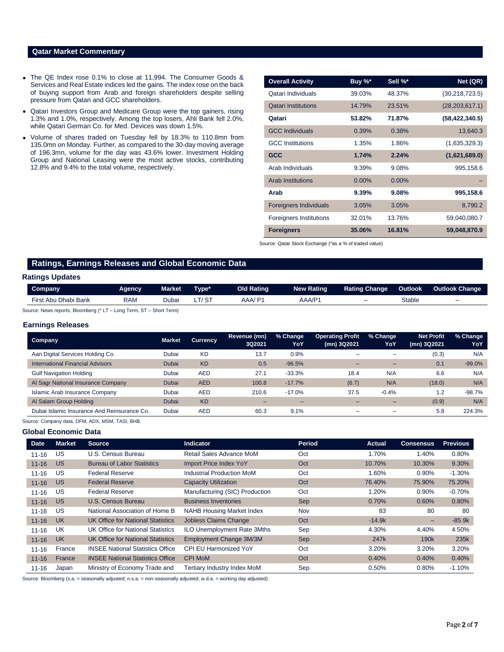# **Qatar Market Commentary**

- The QE Index rose 0.1% to close at 11,994. The Consumer Goods & Services and Real Estate indices led the gains. The index rose on the back of buying support from Arab and foreign shareholders despite selling pressure from Qatari and GCC shareholders.
- Qatari Investors Group and Medicare Group were the top gainers, rising 1.3% and 1.0%, respectively. Among the top losers, Ahli Bank fell 2.0%, while Qatari German Co. for Med. Devices was down 1.5%.
- Volume of shares traded on Tuesday fell by 18.3% to 110.8mn from 135.0mn on Monday. Further, as compared to the 30-day moving average of 196.3mn, volume for the day was 43.6% lower. Investment Holding Group and National Leasing were the most active stocks, contributing 12.8% and 9.4% to the total volume, respectively.

| <b>Overall Activity</b>        | Buy %*   | Sell %*  | Net (QR)         |
|--------------------------------|----------|----------|------------------|
| Qatari Individuals             | 39.03%   | 48.37%   | (30, 218, 723.5) |
| <b>Oatari Institutions</b>     | 14.79%   | 23.51%   | (28, 203, 617.1) |
| Qatari                         | 53.82%   | 71.87%   | (58, 422, 340.5) |
| <b>GCC Individuals</b>         | 0.39%    | 0.38%    | 13,640.3         |
| <b>GCC</b> Institutions        | 1.35%    | 1.86%    | (1,635,329.3)    |
| <b>GCC</b>                     | 1.74%    | 2.24%    | (1,621,689.0)    |
| Arab Individuals               | 9.39%    | 9.08%    | 995,158.6        |
| <b>Arab Institutions</b>       | $0.00\%$ | $0.00\%$ |                  |
| Arab                           | 9.39%    | 9.08%    | 995,158.6        |
| <b>Foreigners Individuals</b>  | 3.05%    | 3.05%    | 8,790.2          |
| <b>Foreigners Institutions</b> | 32.01%   | 13.76%   | 59,040,080.7     |
| <b>Foreigners</b>              | 35.06%   | 16.81%   | 59,048,870.9     |

Source: Qatar Stock Exchange (\*as a % of traded value)

# **Ratings, Earnings Releases and Global Economic Data**

# **Ratings Updates**

| Company                    | Aaencv | <b>Market</b> | ⊺ype*                | Old Rating | <b>New Rating</b> | <b>Rating Change</b> | Outlook | <b>Outlook Change</b> |
|----------------------------|--------|---------------|----------------------|------------|-------------------|----------------------|---------|-----------------------|
| Dhabi Bank<br>First<br>Abu | RAM    | Jubai         | $\sim$ $\sim$ $\sim$ | $A$ A $A$  | AAA/P'            | -                    | Stable  | -                     |

Source: News reports, Bloomberg (\* LT – Long Term, ST – Short Term)

### **Earnings Releases**

| <b>Company</b>                              | <b>Market</b> | <b>Currency</b> | Revenue (mn)<br>3Q2021 | % Change<br>YoY | <b>Operating Profit</b><br>(mn) 3Q2021 | % Change<br>YoY | <b>Net Profit</b><br>(mn) 3Q2021 | % Change<br>YoY |
|---------------------------------------------|---------------|-----------------|------------------------|-----------------|----------------------------------------|-----------------|----------------------------------|-----------------|
| Aan Digital Services Holding Co.            | Dubai         | <b>KD</b>       | 13.7                   | 0.9%            |                                        |                 | (0.3)                            | N/A             |
| International Financial Advisors            | Dubai         | <b>KD</b>       | 0.5                    | $-96.5%$        | -                                      | -               | 0.1                              | $-99.0%$        |
| <b>Gulf Navigation Holding</b>              | Dubai         | <b>AED</b>      | 27.1                   | $-33.3%$        | 18.4                                   | N/A             | 6.6                              | N/A             |
| Al Sagr National Insurance Company          | Dubai         | <b>AED</b>      | 100.8                  | $-17.7%$        | (6.7)                                  | N/A             | (18.0)                           | N/A             |
| <b>Islamic Arab Insurance Company</b>       | Dubai         | <b>AED</b>      | 210.6                  | $-17.0%$        | 37.5                                   | $-0.4%$         | 1.2                              | $-98.7%$        |
| Al Salam Group Holding                      | Dubai         | <b>KD</b>       |                        | -               |                                        |                 | (0.9)                            | N/A             |
| Dubai Islamic Insurance And Reinsurance Co. | Dubai         | <b>AED</b>      | 60.3                   | 9.1%            | -                                      |                 | 5.8                              | 224.3%          |

Source: Company data, DFM, ADX, MSM, TASI, BHB.

#### **Global Economic Data**

| <b>Date</b> | <b>Market</b> | <b>Source</b>                            | <b>Indicator</b>                   | Period     | Actual   | <b>Consensus</b>         | <b>Previous</b> |
|-------------|---------------|------------------------------------------|------------------------------------|------------|----------|--------------------------|-----------------|
| $11 - 16$   | US            | U.S. Census Bureau                       | Retail Sales Advance MoM           | Oct        | 1.70%    | 1.40%                    | 0.80%           |
| $11 - 16$   | <b>US</b>     | <b>Bureau of Labor Statistics</b>        | Import Price Index YoY             | Oct        | 10.70%   | 10.30%                   | 9.30%           |
| $11 - 16$   | US            | <b>Federal Reserve</b>                   | Industrial Production MoM          | Oct        | 1.60%    | $0.90\%$                 | $-1.30%$        |
| $11 - 16$   | <b>US</b>     | <b>Federal Reserve</b>                   | <b>Capacity Utilization</b>        | Oct        | 76.40%   | 75.90%                   | 75.20%          |
| $11 - 16$   | US            | <b>Federal Reserve</b>                   | Manufacturing (SIC) Production     | Oct        | 1.20%    | $0.90\%$                 | $-0.70%$        |
| $11 - 16$   | <b>US</b>     | U.S. Census Bureau                       | <b>Business Inventories</b>        | Sep        | 0.70%    | 0.60%                    | 0.80%           |
| $11 - 16$   | US            | National Association of Home B           | <b>NAHB Housing Market Index</b>   | <b>Nov</b> | 83       | 80                       | 80              |
| $11 - 16$   | <b>UK</b>     | <b>UK Office for National Statistics</b> | <b>Jobless Claims Change</b>       | Oct        | $-14.9k$ | $\overline{\phantom{0}}$ | $-85.9k$        |
| $11 - 16$   | UK            | UK Office for National Statistics        | <b>ILO Unemployment Rate 3Mths</b> | Sep        | 4.30%    | 4.40%                    | 4.50%           |
| $11 - 16$   | <b>UK</b>     | UK Office for National Statistics        | Employment Change 3M/3M            | <b>Sep</b> | 247k     | 190 <sub>k</sub>         | 235k            |
| $11 - 16$   | France        | <b>INSEE National Statistics Office</b>  | <b>CPI EU Harmonized YoY</b>       | Oct        | 3.20%    | 3.20%                    | 3.20%           |
| $11 - 16$   | France        | <b>INSEE National Statistics Office</b>  | <b>CPI MoM</b>                     | Oct        | 0.40%    | 0.40%                    | 0.40%           |
| $11 - 16$   | Japan         | Ministry of Economy Trade and            | <b>Tertiary Industry Index MoM</b> | Sep        | 0.50%    | 0.80%                    | $-1.10%$        |

Source: Bloomberg (s.a. = seasonally adjusted; n.s.a. = non-seasonally adjusted; w.d.a. = working day adjusted)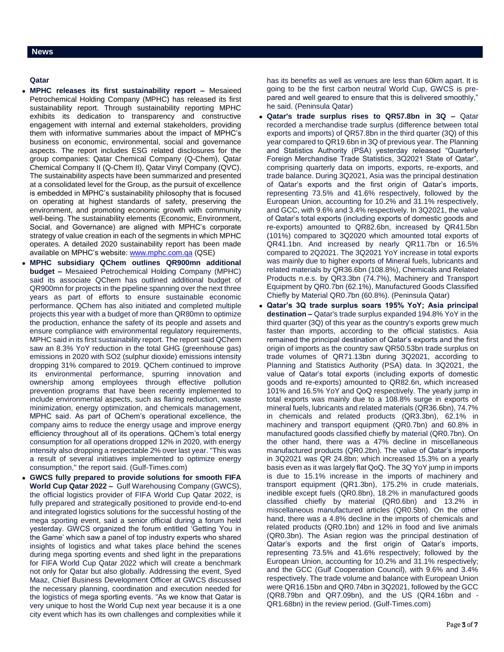# **Qatar**

- **MPHC releases its first sustainability report –** Mesaieed Petrochemical Holding Company (MPHC) has released its first sustainability report. Through sustainability reporting MPHC exhibits its dedication to transparency and constructive engagement with internal and external stakeholders, providing them with informative summaries about the impact of MPHC's business on economic, environmental, social and governance aspects. The report includes ESG related disclosures for the group companies: Qatar Chemical Company (Q-Chem), Qatar Chemical Company II (Q-Chem II), Qatar Vinyl Company (QVC). The sustainability aspects have been summarized and presented at a consolidated level for the Group, as the pursuit of excellence is embedded in MPHC's sustainability philosophy that is focused on operating at highest standards of safety, preserving the environment, and promoting economic growth with community well-being. The sustainability elements (Economic, Environment, Social, and Governance) are aligned with MPHC's corporate strategy of value creation in each of the segments in which MPHC operates. A detailed 2020 sustainability report has been made available on MPHC's website: [www.mphc.com.qa](http://www.mphc.com.qa/) (QSE)
- **MPHC subsidiary QChem outlines QR900mn additional budget –** Mesaieed Petrochemical Holding Company (MPHC) said its associate QChem has outlined additional budget of QR900mn for projects in the pipeline spanning over the next three years as part of efforts to ensure sustainable economic performance. QChem has also initiated and completed multiple projects this year with a budget of more than QR80mn to optimize the production, enhance the safety of its people and assets and ensure compliance with environmental regulatory requirements, MPHC said in its first sustainability report. The report said QChem saw an 8.3% YoY reduction in the total GHG (greenhouse gas) emissions in 2020 with SO2 (sulphur dioxide) emissions intensity dropping 31% compared to 2019. QChem continued to improve its environmental performance, spurring innovation and ownership among employees through effective pollution prevention programs that have been recently implemented to include environmental aspects, such as flaring reduction, waste minimization, energy optimization, and chemicals management, MPHC said. As part of QChem's operational excellence, the company aims to reduce the energy usage and improve energy efficiency throughout all of its operations. QChem's total energy consumption for all operations dropped 12% in 2020, with energy intensity also dropping a respectable 2% over last year. "This was a result of several initiatives implemented to optimize energy consumption," the report said. (Gulf-Times.com)
- **GWCS fully prepared to provide solutions for smooth FIFA World Cup Qatar 2022 –** Gulf Warehousing Company (GWCS), the official logistics provider of FIFA World Cup Qatar 2022, is fully prepared and strategically positioned to provide end-to-end and integrated logistics solutions for the successful hosting of the mega sporting event, said a senior official during a forum held yesterday. GWCS organized the forum entitled 'Getting You in the Game' which saw a panel of top industry experts who shared insights of logistics and what takes place behind the scenes during mega sporting events and shed light in the preparations for FIFA World Cup Qatar 2022 which will create a benchmark not only for Qatar but also globally. Addressing the event, Syed Maaz, Chief Business Development Officer at GWCS discussed the necessary planning, coordination and execution needed for the logistics of mega sporting events. "As we know that Qatar is very unique to host the World Cup next year because it is a one city event which has its own challenges and complexities while it

has its benefits as well as venues are less than 60km apart. It is going to be the first carbon neutral World Cup, GWCS is prepared and well geared to ensure that this is delivered smoothly," he said. (Peninsula Qatar)

- **Qatar's trade surplus rises to QR57.8bn in 3Q –** Qatar recorded a merchandise trade surplus (difference between total exports and imports) of QR57.8bn in the third quarter (3Q) of this year compared to QR19.6bn in 3Q of previous year. The Planning and Statistics Authority (PSA) yesterday released "Quarterly Foreign Merchandise Trade Statistics, 3Q2021 State of Qatar", comprising quarterly data on imports, exports, re-exports, and trade balance. During 3Q2021, Asia was the principal destination of Qatar's exports and the first origin of Qatar's imports, representing 73.5% and 41.6% respectively, followed by the European Union, accounting for 10.2% and 31.1% respectively, and GCC, with 9.6% and 3.4% respectively. In 3Q2021, the value of Qatar's total exports (including exports of domestic goods and re-exports) amounted to QR82.6bn, increased by QR41.5bn (101%) compared to 3Q2020 which amounted total exports of QR41.1bn. And increased by nearly QR11.7bn or 16.5% compared to 2Q2021. The 3Q2021 YoY increase in total exports was mainly due to higher exports of Mineral fuels, lubricants and related materials by QR36.6bn (108.8%), Chemicals and Related Products n.e.s. by QR3.3bn (74.7%), Machinery and Transport Equipment by QR0.7bn (62.1%), Manufactured Goods Classified Chiefly by Material QR0.7bn (60.8%). (Peninsula Qatar)
- **Qatar's 3Q trade surplus soars 195% YoY; Asia principal destination –** Qatar's trade surplus expanded 194.8% YoY in the third quarter (3Q) of this year as the country's exports grew much faster than imports, according to the official statistics. Asia remained the principal destination of Qatar's exports and the first origin of imports as the country saw QR50.53bn trade surplus on trade volumes of QR71.13bn during 3Q2021, according to Planning and Statistics Authority (PSA) data. In 3Q2021, the value of Qatar's total exports (including exports of domestic goods and re-exports) amounted to QR82.6n, which increased 101% and 16.5% YoY and QoQ respectively. The yearly jump in total exports was mainly due to a 108.8% surge in exports of mineral fuels, lubricants and related materials (QR36.6bn), 74.7% in chemicals and related products (QR3.3bn), 62.1% in machinery and transport equipment (QR0.7bn) and 60.8% in manufactured goods classified chiefly by material (QR0.7bn). On the other hand, there was a 47% decline in miscellaneous manufactured products (QR0.2bn). The value of Qatar's imports in 3Q2021 was QR 24.8bn; which increased 15.3% on a yearly basis even as it was largely flat QoQ. The 3Q YoY jump in imports is due to 15.1% increase in the imports of machinery and transport equipment (QR1.3bn), 175.2% in crude materials, inedible except fuels (QR0.8bn), 18.2% in manufactured goods classified chiefly by material (QR0.6bn) and 13.2% in miscellaneous manufactured articles (QR0.5bn). On the other hand, there was a 4.8% decline in the imports of chemicals and related products (QR0.1bn) and 12% in food and live animals (QR0.3bn). The Asian region was the principal destination of Qatar's exports and the first origin of Qatar's imports, representing 73.5% and 41.6% respectively; followed by the European Union, accounting for 10.2% and 31.1% respectively; and the GCC (Gulf Cooperation Council), with 9.6% and 3.4% respectively. The trade volume and balance with European Union were QR16.15bn and QR0.74bn in 3Q2021, followed by the GCC (QR8.79bn and QR7.09bn), and the US (QR4.16bn and - QR1.68bn) in the review period. (Gulf-Times.com)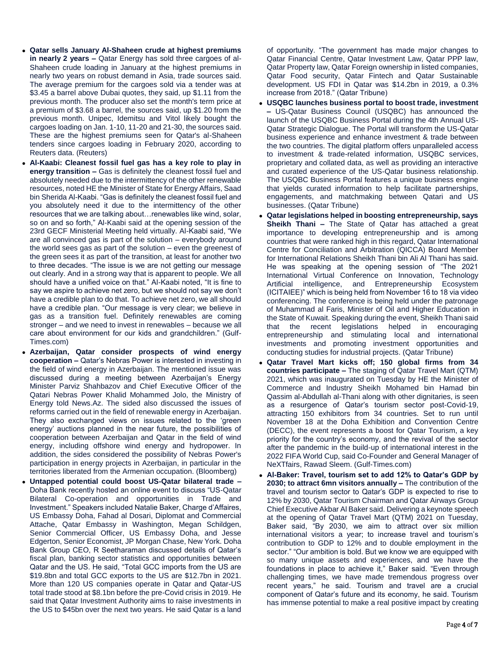- **Qatar sells January Al-Shaheen crude at highest premiums in nearly 2 years –** Qatar Energy has sold three cargoes of al-Shaheen crude loading in January at the highest premiums in nearly two years on robust demand in Asia, trade sources said. The average premium for the cargoes sold via a tender was at \$3.45 a barrel above Dubai quotes, they said, up \$1.11 from the previous month. The producer also set the month's term price at a premium of \$3.68 a barrel, the sources said, up \$1.20 from the previous month. Unipec, Idemitsu and Vitol likely bought the cargoes loading on Jan. 1-10, 11-20 and 21-30, the sources said. These are the highest premiums seen for Qatar's al-Shaheen tenders since cargoes loading in February 2020, according to Reuters data. (Reuters)
- **Al-Kaabi: Cleanest fossil fuel gas has a key role to play in energy transition –** Gas is definitely the cleanest fossil fuel and absolutely needed due to the intermittency of the other renewable resources, noted HE the Minister of State for Energy Affairs, Saad bin Sherida Al-Kaabi. "Gas is definitely the cleanest fossil fuel and you absolutely need it due to the intermittency of the other resources that we are talking about…renewables like wind, solar, so on and so forth," Al-Kaabi said at the opening session of the 23rd GECF Ministerial Meeting held virtually. Al-Kaabi said, "We are all convinced gas is part of the solution – everybody around the world sees gas as part of the solution – even the greenest of the green sees it as part of the transition, at least for another two to three decades. "The issue is we are not getting our message out clearly. And in a strong way that is apparent to people. We all should have a unified voice on that." Al-Kaabi noted, "It is fine to say we aspire to achieve net zero, but we should not say we don't have a credible plan to do that. To achieve net zero, we all should have a credible plan. "Our message is very clear; we believe in gas as a transition fuel. Definitely renewables are coming stronger – and we need to invest in renewables – because we all care about environment for our kids and grandchildren." (Gulf-Times.com)
- **Azerbaijan, Qatar consider prospects of wind energy cooperation –** Qatar's Nebras Power is interested in investing in the field of wind energy in Azerbaijan. The mentioned issue was discussed during a meeting between Azerbaijan's Energy Minister Parviz Shahbazov and Chief Executive Officer of the Qatari Nebras Power Khalid Mohammed Jolo, the Ministry of Energy told News.Az. The sided also discussed the issues of reforms carried out in the field of renewable energy in Azerbaijan. They also exchanged views on issues related to the 'green energy' auctions planned in the near future, the possibilities of cooperation between Azerbaijan and Qatar in the field of wind energy, including offshore wind energy and hydropower. In addition, the sides considered the possibility of Nebras Power's participation in energy projects in Azerbaijan, in particular in the territories liberated from the Armenian occupation. (Bloomberg)
- **Untapped potential could boost US-Qatar bilateral trade –** Doha Bank recently hosted an online event to discuss "US-Qatar Bilateral Co-operation and opportunities in Trade and Investment." Speakers included Natalie Baker, Charge d'Affaires, US Embassy Doha, Fahad al Dosari, Diplomat and Commercial Attache, Qatar Embassy in Washington, Megan Schildgen, Senior Commercial Officer, US Embassy Doha, and Jesse Edgerton, Senior Economist, JP Morgan Chase, New York. Doha Bank Group CEO, R Seetharaman discussed details of Qatar's fiscal plan, banking sector statistics and opportunities between Qatar and the US. He said, "Total GCC imports from the US are \$19.8bn and total GCC exports to the US are \$12.7bn in 2021. More than 120 US companies operate in Qatar and Qatar-US total trade stood at \$8.1bn before the pre-Covid crisis in 2019. He said that Qatar Investment Authority aims to raise investments in the US to \$45bn over the next two years. He said Qatar is a land

of opportunity. "The government has made major changes to Qatar Financial Centre, Qatar Investment Law, Qatar PPP law, Qatar Property law, Qatar Foreign ownership in listed companies, Qatar Food security, Qatar Fintech and Qatar Sustainable development. US FDI in Qatar was \$14.2bn in 2019, a 0.3% increase from 2018." (Qatar Tribune)

- **USQBC launches business portal to boost trade, investment –** US-Qatar Business Council (USQBC) has announced the launch of the USQBC Business Portal during the 4th Annual US-Qatar Strategic Dialogue. The Portal will transform the US-Qatar business experience and enhance investment & trade between the two countries. The digital platform offers unparalleled access to investment & trade-related information, USQBC services, proprietary and collated data, as well as providing an interactive and curated experience of the US-Qatar business relationship. The USQBC Business Portal features a unique business engine that yields curated information to help facilitate partnerships, engagements, and matchmaking between Qatari and US businesses. (Qatar Tribune)
- **Qatar legislations helped in boosting entrepreneurship, says Sheikh Thani –** The State of Qatar has attached a great importance to developing entrepreneurship and is among countries that were ranked high in this regard, Qatar International Centre for Conciliation and Arbitration (QICCA) Board Member for International Relations Sheikh Thani bin Ali Al Thani has said. He was speaking at the opening session of "The 2021 International Virtual Conference on Innovation, Technology Artificial intelligence, and Entrepreneurship Ecosystem (ICITAIEE)" which is being held from November 16 to 18 via video conferencing. The conference is being held under the patronage of Muhammad al Faris, Minister of Oil and Higher Education in the State of Kuwait. Speaking during the event, Sheikh Thani said that the recent legislations helped in encouraging entrepreneurship and stimulating local and international investments and promoting investment opportunities and conducting studies for industrial projects. (Qatar Tribune)
- **Qatar Travel Mart kicks off; 150 global firms from 34 countries participate –** The staging of Qatar Travel Mart (QTM) 2021, which was inaugurated on Tuesday by HE the Minister of Commerce and Industry Sheikh Mohamed bin Hamad bin Qassim al-Abdullah al-Thani along with other dignitaries, is seen as a resurgence of Qatar's tourism sector post-Covid-19, attracting 150 exhibitors from 34 countries. Set to run until November 18 at the Doha Exhibition and Convention Centre (DECC), the event represents a boost for Qatar Tourism, a key priority for the country's economy, and the revival of the sector after the pandemic in the build-up of international interest in the 2022 FIFA World Cup, said Co-Founder and General Manager of NeXTfairs, Rawad Sleem. (Gulf-Times.com)
- **Al-Baker: Travel, tourism set to add 12% to Qatar's GDP by 2030; to attract 6mn visitors annually –** The contribution of the travel and tourism sector to Qatar's GDP is expected to rise to 12% by 2030, Qatar Tourism Chairman and Qatar Airways Group Chief Executive Akbar Al Baker said. Delivering a keynote speech at the opening of Qatar Travel Mart (QTM) 2021 on Tuesday, Baker said, "By 2030, we aim to attract over six million international visitors a year; to increase travel and tourism's contribution to GDP to 12% and to double employment in the sector." "Our ambition is bold. But we know we are equipped with so many unique assets and experiences, and we have the foundations in place to achieve it," Baker said. "Even through challenging times, we have made tremendous progress over recent years," he said. Tourism and travel are a crucial component of Qatar's future and its economy, he said. Tourism has immense potential to make a real positive impact by creating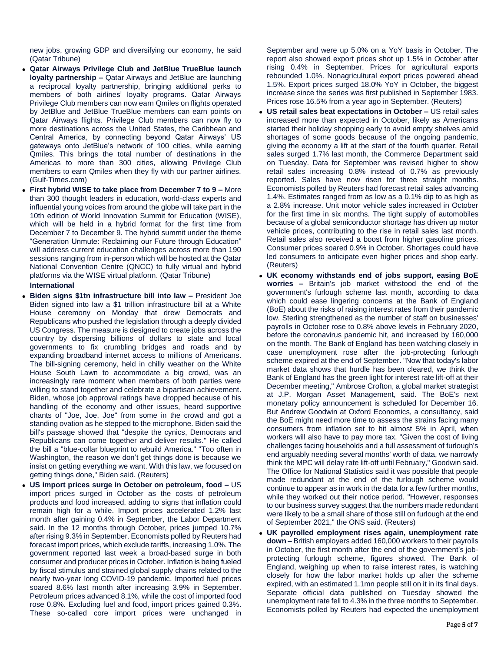new jobs, growing GDP and diversifying our economy, he said (Qatar Tribune)

- **Qatar Airways Privilege Club and JetBlue TrueBlue launch loyalty partnership –** Qatar Airways and JetBlue are launching a reciprocal loyalty partnership, bringing additional perks to members of both airlines' loyalty programs. Qatar Airways Privilege Club members can now earn Qmiles on flights operated by JetBlue and JetBlue TrueBlue members can earn points on Qatar Airways flights. Privilege Club members can now fly to more destinations across the United States, the Caribbean and Central America, by connecting beyond Qatar Airways' US gateways onto JetBlue's network of 100 cities, while earning Qmiles. This brings the total number of destinations in the Americas to more than 300 cities, allowing Privilege Club members to earn Qmiles when they fly with our partner airlines. (Gulf-Times.com)
- **First hybrid WISE to take place from December 7 to 9 –** More than 300 thought leaders in education, world-class experts and influential young voices from around the globe will take part in the 10th edition of World Innovation Summit for Education (WISE), which will be held in a hybrid format for the first time from December 7 to December 9. The hybrid summit under the theme "Generation Unmute: Reclaiming our Future through Education" will address current education challenges across more than 190 sessions ranging from in-person which will be hosted at the Qatar National Convention Centre (QNCC) to fully virtual and hybrid platforms via the WISE virtual platform. (Qatar Tribune) **International**
- 
- **Biden signs \$1tn infrastructure bill into law –** President Joe Biden signed into law a \$1 trillion infrastructure bill at a White House ceremony on Monday that drew Democrats and Republicans who pushed the legislation through a deeply divided US Congress. The measure is designed to create jobs across the country by dispersing billions of dollars to state and local governments to fix crumbling bridges and roads and by expanding broadband internet access to millions of Americans. The bill-signing ceremony, held in chilly weather on the White House South Lawn to accommodate a big crowd, was an increasingly rare moment when members of both parties were willing to stand together and celebrate a bipartisan achievement. Biden, whose job approval ratings have dropped because of his handling of the economy and other issues, heard supportive chants of "Joe, Joe, Joe" from some in the crowd and got a standing ovation as he stepped to the microphone. Biden said the bill's passage showed that "despite the cynics, Democrats and Republicans can come together and deliver results." He called the bill a "blue-collar blueprint to rebuild America." "Too often in Washington, the reason we don't get things done is because we insist on getting everything we want. With this law, we focused on getting things done," Biden said. (Reuters)
- **US import prices surge in October on petroleum, food –** US import prices surged in October as the costs of petroleum products and food increased, adding to signs that inflation could remain high for a while. Import prices accelerated 1.2% last month after gaining 0.4% in September, the Labor Department said. In the 12 months through October, prices jumped 10.7% after rising 9.3% in September. Economists polled by Reuters had forecast import prices, which exclude tariffs, increasing 1.0%. The government reported last week a broad-based surge in both consumer and producer prices in October. Inflation is being fueled by fiscal stimulus and strained global supply chains related to the nearly two-year long COVID-19 pandemic. Imported fuel prices soared 8.6% last month after increasing 3.9% in September. Petroleum prices advanced 8.1%, while the cost of imported food rose 0.8%. Excluding fuel and food, import prices gained 0.3%. These so-called core import prices were unchanged in

September and were up 5.0% on a YoY basis in October. The report also showed export prices shot up 1.5% in October after rising 0.4% in September. Prices for agricultural exports rebounded 1.0%. Nonagricultural export prices powered ahead 1.5%. Export prices surged 18.0% YoY in October, the biggest increase since the series was first published in September 1983. Prices rose 16.5% from a year ago in September. (Reuters)

- **US retail sales beat expectations in October –** US retail sales increased more than expected in October, likely as Americans started their holiday shopping early to avoid empty shelves amid shortages of some goods because of the ongoing pandemic, giving the economy a lift at the start of the fourth quarter. Retail sales surged 1.7% last month, the Commerce Department said on Tuesday. Data for September was revised higher to show retail sales increasing 0.8% instead of 0.7% as previously reported. Sales have now risen for three straight months. Economists polled by Reuters had forecast retail sales advancing 1.4%. Estimates ranged from as low as a 0.1% dip to as high as a 2.8% increase. Unit motor vehicle sales increased in October for the first time in six months. The tight supply of automobiles because of a global semiconductor shortage has driven up motor vehicle prices, contributing to the rise in retail sales last month. Retail sales also received a boost from higher gasoline prices. Consumer prices soared 0.9% in October. Shortages could have led consumers to anticipate even higher prices and shop early. (Reuters)
- **UK economy withstands end of jobs support, easing BoE worries –** Britain's job market withstood the end of the government's furlough scheme last month, according to data which could ease lingering concerns at the Bank of England (BoE) about the risks of raising interest rates from their pandemic low. Sterling strengthened as the number of staff on businesses' payrolls in October rose to 0.8% above levels in February 2020, before the coronavirus pandemic hit, and increased by 160,000 on the month. The Bank of England has been watching closely in case unemployment rose after the job-protecting furlough scheme expired at the end of September. "Now that today's labor market data shows that hurdle has been cleared, we think the Bank of England has the green light for interest rate lift-off at their December meeting," Ambrose Crofton, a global market strategist at J.P. Morgan Asset Management, said. The BoE's next monetary policy announcement is scheduled for December 16. But Andrew Goodwin at Oxford Economics, a consultancy, said the BoE might need more time to assess the strains facing many consumers from inflation set to hit almost 5% in April, when workers will also have to pay more tax. "Given the cost of living challenges facing households and a full assessment of furlough's end arguably needing several months' worth of data, we narrowly think the MPC will delay rate lift-off until February," Goodwin said. The Office for National Statistics said it was possible that people made redundant at the end of the furlough scheme would continue to appear as in work in the data for a few further months, while they worked out their notice period. "However, responses to our business survey suggest that the numbers made redundant were likely to be a small share of those still on furlough at the end of September 2021," the ONS said. (Reuters)
- **UK payrolled employment rises again, unemployment rate down –** British employers added 160,000 workers to their payrolls in October, the first month after the end of the government's jobprotecting furlough scheme, figures showed. The Bank of England, weighing up when to raise interest rates, is watching closely for how the labor market holds up after the scheme expired, with an estimated 1.1mn people still on it in its final days. Separate official data published on Tuesday showed the unemployment rate fell to 4.3% in the three months to September. Economists polled by Reuters had expected the unemployment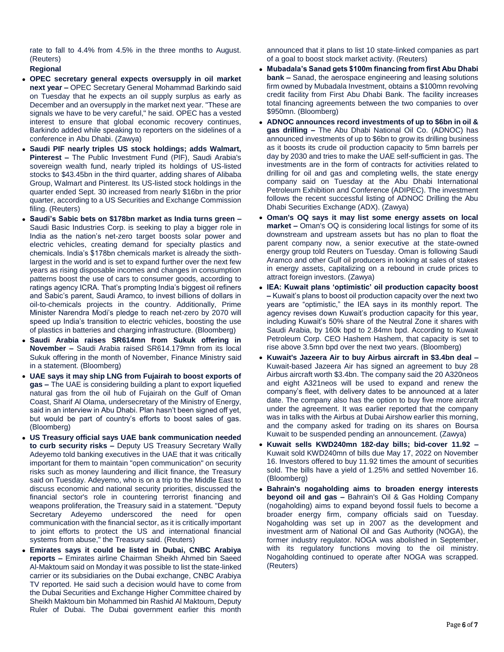rate to fall to 4.4% from 4.5% in the three months to August. (Reuters)

**Regional**

- **OPEC secretary general expects oversupply in oil market next year –** OPEC Secretary General Mohammad Barkindo said on Tuesday that he expects an oil supply surplus as early as December and an oversupply in the market next year. "These are signals we have to be very careful," he said. OPEC has a vested interest to ensure that global economic recovery continues, Barkindo added while speaking to reporters on the sidelines of a conference in Abu Dhabi. (Zawya)
- **Saudi PIF nearly triples US stock holdings; adds Walmart, Pinterest –** The Public Investment Fund (PIF), Saudi Arabia's sovereign wealth fund, nearly tripled its holdings of US-listed stocks to \$43.45bn in the third quarter, adding shares of Alibaba Group, Walmart and Pinterest. Its US-listed stock holdings in the quarter ended Sept. 30 increased from nearly \$16bn in the prior quarter, according to a US Securities and Exchange Commission filing. (Reuters)
- **Saudi's Sabic bets on \$178bn market as India turns green –** Saudi Basic Industries Corp. is seeking to play a bigger role in India as the nation's net-zero target boosts solar power and electric vehicles, creating demand for specialty plastics and chemicals. India's \$178bn chemicals market is already the sixthlargest in the world and is set to expand further over the next few years as rising disposable incomes and changes in consumption patterns boost the use of cars to consumer goods, according to ratings agency ICRA. That's prompting India's biggest oil refiners and Sabic's parent, Saudi Aramco, to invest billions of dollars in oil-to-chemicals projects in the country. Additionally, Prime Minister Narendra Modi's pledge to reach net-zero by 2070 will speed up India's transition to electric vehicles, boosting the use of plastics in batteries and charging infrastructure. (Bloomberg)
- **Saudi Arabia raises SR614mn from Sukuk offering in November –** Saudi Arabia raised SR614.179mn from its local Sukuk offering in the month of November, Finance Ministry said in a statement. (Bloomberg)
- **UAE says it may ship LNG from Fujairah to boost exports of gas –** The UAE is considering building a plant to export liquefied natural gas from the oil hub of Fujairah on the Gulf of Oman Coast, Sharif Al Olama, undersecretary of the Ministry of Energy, said in an interview in Abu Dhabi. Plan hasn't been signed off yet, but would be part of country's efforts to boost sales of gas. (Bloomberg)
- **US Treasury official says UAE bank communication needed to curb security risks –** Deputy US Treasury Secretary Wally Adeyemo told banking executives in the UAE that it was critically important for them to maintain "open communication" on security risks such as money laundering and illicit finance, the Treasury said on Tuesday. Adeyemo, who is on a trip to the Middle East to discuss economic and national security priorities, discussed the financial sector's role in countering terrorist financing and weapons proliferation, the Treasury said in a statement. "Deputy Secretary Adeyemo underscored the need for open communication with the financial sector, as it is critically important to joint efforts to protect the US and international financial systems from abuse," the Treasury said. (Reuters)
- **Emirates says it could be listed in Dubai, CNBC Arabiya reports –** Emirates airline Chairman Sheikh Ahmed bin Saeed Al-Maktoum said on Monday it was possible to list the state-linked carrier or its subsidiaries on the Dubai exchange, CNBC Arabiya TV reported. He said such a decision would have to come from the Dubai Securities and Exchange Higher Committee chaired by Sheikh Maktoum bin Mohammed bin Rashid Al Maktoum, Deputy Ruler of Dubai. The Dubai government earlier this month

announced that it plans to list 10 state-linked companies as part of a goal to boost stock market activity. (Reuters)

- **Mubadala's Sanad gets \$100m financing from first Abu Dhabi bank –** Sanad, the aerospace engineering and leasing solutions firm owned by Mubadala Investment, obtains a \$100mn revolving credit facility from First Abu Dhabi Bank. The facility increases total financing agreements between the two companies to over \$950mn. (Bloomberg)
- **ADNOC announces record investments of up to \$6bn in oil & gas drilling –** The Abu Dhabi National Oil Co. (ADNOC) has announced investments of up to \$6bn to grow its drilling business as it boosts its crude oil production capacity to 5mn barrels per day by 2030 and tries to make the UAE self-sufficient in gas. The investments are in the form of contracts for activities related to drilling for oil and gas and completing wells, the state energy company said on Tuesday at the Abu Dhabi International Petroleum Exhibition and Conference (ADIPEC). The investment follows the recent successful listing of ADNOC Drilling the Abu Dhabi Securities Exchange (ADX). (Zawya)
- **Oman's OQ says it may list some energy assets on local market –** Oman's OQ is considering local listings for some of its downstream and upstream assets but has no plan to float the parent company now, a senior executive at the state-owned energy group told Reuters on Tuesday. Oman is following Saudi Aramco and other Gulf oil producers in looking at sales of stakes in energy assets, capitalizing on a rebound in crude prices to attract foreign investors. (Zawya)
- **IEA: Kuwait plans 'optimistic' oil production capacity boost –** Kuwait's plans to boost oil production capacity over the next two years are "optimistic," the IEA says in its monthly report. The agency revises down Kuwait's production capacity for this year, including Kuwait's 50% share of the Neutral Zone it shares with Saudi Arabia, by 160k bpd to 2.84mn bpd. According to Kuwait Petroleum Corp. CEO Hashem Hashem, that capacity is set to rise above 3.5mn bpd over the next two years. (Bloomberg)
- **Kuwait's Jazeera Air to buy Airbus aircraft in \$3.4bn deal –** Kuwait-based Jazeera Air has signed an agreement to buy 28 Airbus aircraft worth \$3.4bn. The company said the 20 A320neos and eight A321neos will be used to expand and renew the company's fleet, with delivery dates to be announced at a later date. The company also has the option to buy five more aircraft under the agreement. It was earlier reported that the company was in talks with the Airbus at Dubai Airshow earlier this morning, and the company asked for trading on its shares on Boursa Kuwait to be suspended pending an announcement. (Zawya)
- **Kuwait sells KWD240mn 182-day bills; bid-cover 11.92 –** Kuwait sold KWD240mn of bills due May 17, 2022 on November 16. Investors offered to buy 11.92 times the amount of securities sold. The bills have a yield of 1.25% and settled November 16. (Bloomberg)
- **Bahrain's nogaholding aims to broaden energy interests beyond oil and gas –** Bahrain's Oil & Gas Holding Company (nogaholding) aims to expand beyond fossil fuels to become a broader energy firm, company officials said on Tuesday. Nogaholding was set up in 2007 as the development and investment arm of National Oil and Gas Authority (NOGA), the former industry regulator. NOGA was abolished in September, with its regulatory functions moving to the oil ministry. Nogaholding continued to operate after NOGA was scrapped. (Reuters)